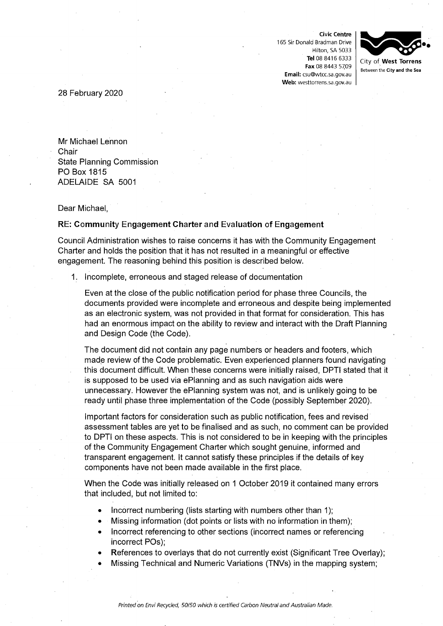**Civic Centre**  165 Sir Donald Bradman Drive Hilton, SA 5033 **Tel** 08 8416 6333 **Fax** 08 8443 5709 **Email:** csu@wtcc.sa.gov.au **Web:** westtorrens.sa.gov.au



28 February 2020

Mr Michael Lennon . Chair State Planning Commission PO Box 1815 ADELAIDE SA 5001

Dear Michael,

## **RE: Community Engagement Charter and Evaluation of Engagement**

Council Administration wishes to raise concerns it has with the Community Engagement Charter and holds the position that it has not resulted in a meaningful or effective engagement. The reasoning behind this position is described below.

1. Incomplete, erroneous and staged release of documentation

Even at the close of the public notification period for phase three Councils, the documents provided were incomplete and erroneous and despite being implemented as an electronic system, was not provided in that format for consideration. This has had an enormous impact on the ability to review and interact with the Draft Planning and Design Code (the Code).

The document did not contain any page numbers or headers and footers, which made review of the Code problematic. Even experienced planners found navigating this document difficult. When these concerns were initially raised, DPTI stated that it is supposed to be used via ePIanning and as such navigation aids were unnecessary. However the ePIanning system was not, and is unlikely going to be ready until phase three implementation of the Code (possibly September 2020).

Important factors for consideration such as public notification, fees and revised assessment tables are yet to be finalised and as such, no comment can be provided to DPTI on these aspects. This is not considered to be in keeping with the principles of the Community Engagement Charter which sought genuine, informed and transparent engagement. It cannot satisfy these principles if the details of key components have not been made available in the first place.

When the Code was initially released on 1 October 2019 it contained many errors that included, but not limited to:

- Incorrect numbering (lists starting with numbers other than 1);
- Missing information (dot points or lists with no information in them);
- Incorrect referencing to other sections (incorrect names or referencing incorrect POs);
- References to overlays that do not currently exist (Significant Tree Overlay);
- Missing Technical and Numeric Variations (TNVs) in the mapping system;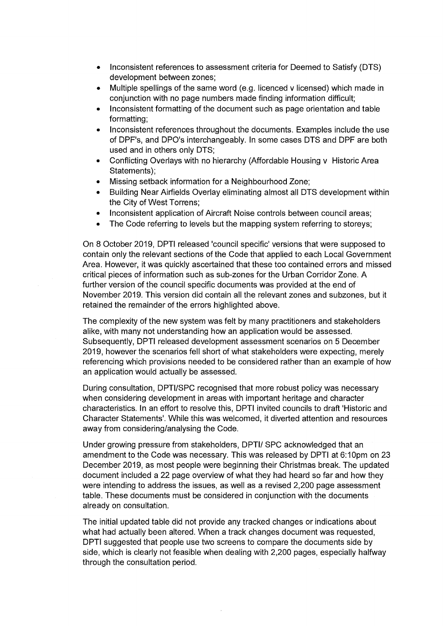- Inconsistent references to assessment criteria for Deemed to Satisfy (DTS) development between zones;
- Multiple spellings of the same word (e.g. licenced v licensed) which made in conjunction with no page numbers made finding information difficult;
- Inconsistent formatting of the document such as page orientation and table formatting;
- Inconsistent references throughout the documents. Examples include the use of DPF's, and DPO's interchangeably. In some cases DTS and DPF are both used and in others only DTS;
- Conflicting Overlays with no hierarchy (Affordable Housing v Historic Area Statements);
- Missing setback information for a Neighbourhood Zone;
- Building Near Airfields Overlay eliminating almost all DTS development within the City of West Torrens;
- Inconsistent application of Aircraft Noise controls between council areas;
- The Code referring to levels but the mapping system referring to storeys;

On 8 October 2019, DPTI released 'council specific' versions that were supposed to contain only the relevant sections of the Code that applied to each Local Government Area. However, it was quickly ascertained that these too contained errors and missed critical pieces of information such as sub-zones for the Urban Corridor Zone. A further version of the council specific documents was provided at the end of November 2019. This version did contain all the relevant zones and subzones, but it retained the remainder of the errors highlighted above.

The complexity of the new system was felt by many practitioners and stakeholders alike, with many not understanding how an application would be assessed. Subsequently, DPTI released development assessment scenarios on 5 December 2019, however the scenarios fell short of what stakeholders were expecting, merely referencing which provisions needed to be considered rather than an example of how an application would actually be assessed.

During consultation, DPTI/SPC recognised that more robust policy was necessary when considering development in areas with important heritage and character characteristics. In an effort to resolve this, DPTI invited councils to draft 'Historic and Character Statements'. While this was welcomed, it diverted attention and resources away from considering/analysing the Code.

Under growing pressure from stakeholders, DPTI/ SPC acknowledged that an amendment to the Code was necessary. This was released by DPTI at 6:10pm on 23 December 2019, as most people were beginning their Christmas break. The updated document included a 22 page overview of what they had heard so far and how they were intending to address the issues, as well as a revised 2,200 page assessment table. These documents must be considered in conjunction with the documents already on consultation.

The initial updated table did not provide any tracked changes or indications about what had actually been altered. When a track changes document was requested, DPTI suggested that people use two screens to compare the documents side by side, which is clearly not feasible when dealing with 2,200 pages, especially halfway through the consultation period.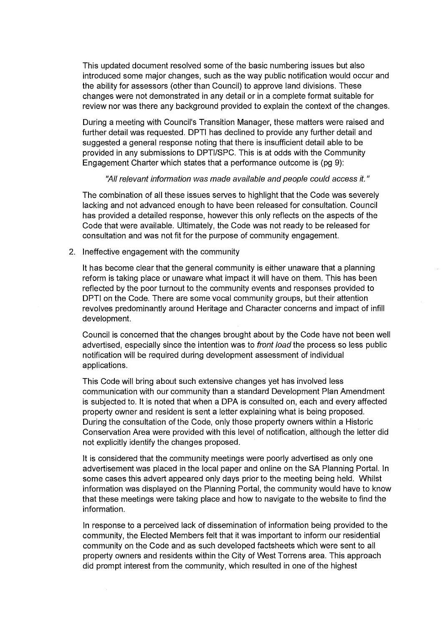This updated document resolved some of the basic numbering issues but also introduced some major changes, such as the way public notification would occur and the ability for assessors (other than Council) to approve land divisions. These changes were not demonstrated in any detail or in a complete format suitable for review nor was there any background provided to explain the context of the changes.

During a meeting with Council's Transition Manager, these matters were raised and further detail was requested. DPTI has declined to provide any further detail and suggested a general response noting that there is insufficient detail able to be provided in any submissions to DPTI/SPC. This is at odds with the Community Engagement Charter which states that a performance outcome is (pg 9):

## *"All relevant information* was *made available and people could access it."*

The combination of all these issues serves to highlight that the Code was severely lacking and not advanced enough to have been released for consultation. Council has provided a detailed response, however this only reflects on the aspects of the Code that were available. Ultimately, the Code was not ready to be released for consultation and was not fit for the purpose of community engagement.

## 2. Ineffective engagement with the community

It has become clear that the general community is either unaware that a planning reform is taking place or unaware what impact it will have on them. This has been reflected by the poor turnout to the community events and responses provided to DPTI on the Code. There are some vocal community groups, but their attention revolves predominantly around Heritage and Character concerns and impact of infill development.

Council is concerned that the changes brought about by the Code have not been well advertised, especially since the intention was to *front load* the process so less public notification will be required during development assessment of individual applications.

This Code will bring about such extensive changes yet has involved less communication with our community than a standard Development Plan Amendment is subjected to. It is noted that when a DPA is consulted on, each and every affected property owner and resident is sent a letter explaining what is being proposed. During the consultation of the Code, only those property owners within a Historic Conservation Area were provided with this level of notification, although the letter did not explicitly identify the changes proposed.

It is considered that the community meetings were poorly advertised as only one advertisement was placed in the local paper and online on the SA Planning Portal. In some cases this advert appeared only days prior to the meeting being held. Whilst information was displayed on the Planning Portal, the community would have to know that these meetings were taking place and how to navigate to the website to find the information.

In response to a perceived lack of dissemination of information being provided to the community, the Elected Members felt that it was important to inform our residential community on the Code and as such developed factsheets which were sent to all property owners and residents within the City of West Torrens area. This approach did prompt interest from the community, which resulted in one of the highest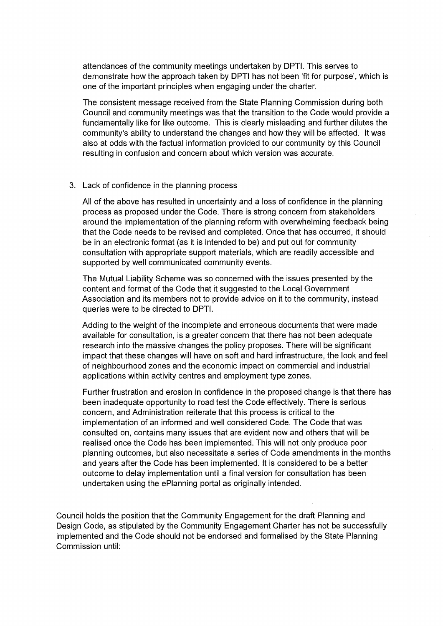attendances of the community meetings undertaken by DPTI. This serves to demonstrate how the approach taken by DPTI has not been 'fit for purpose', which is one of the important principles when engaging under the charter.

The consistent message received from the State Planning Commission during both Council and community meetings was that the transition to the Code would provide a fundamentally like for like outcome. This is clearly misleading and further dilutes the community's ability to understand the changes and how they will be affected. It was also at odds with the factual information provided to our community by this Council resulting in confusion and concern about which version was accurate.

## 3. Lack of confidence in the planning process

All of the above has resulted in uncertainty and a loss of confidence in the planning process as proposed under the Code. There is strong concern from stakeholders around the implementation of the planning reform with overwhelming feedback being that the Code needs to be revised and completed. Once that has occurred, it should be in an electronic format (as it is intended to be) and put out for community consultation with appropriate support materials, which are readily accessible and supported by well communicated community events.

The Mutual Liability Scheme was so concerned with the issues presented by the content and format of the Code that it suggested to the Local Government Association and its members not to provide advice on it to the community, instead queries were to be directed to DPTI.

Adding to the weight of the incomplete and erroneous documents that were made available for consultation, is a greater concern that there has not been adequate research into the massive changes the policy proposes. There will be significant impact that these changes will have on soft and hard infrastructure, the look and feel of neighbourhood zones and the economic impact on commercial and industrial applications within activity centres and employment type zones.

Further frustration and erosion in confidence in the proposed change is that there has been inadequate opportunity to road test the Code effectively. There is serious concern, and Administration reiterate that this process is critical to the implementation of an informed and well considered Code. The Code that was consulted on, contains many issues that are evident now and others that will be realised once the Code has been implemented. This will not only produce poor planning outcomes, but also necessitate a series of Code amendments in the months and years after the Code has been implemented. It is considered to be a better outcome to delay implementation until a final version for consultation has been undertaken using the ePIanning portal as originally intended.

Council holds the position that the Community Engagement for the draft Planning and Design Code, as stipulated by the Community Engagement Charter has not be successfully implemented and the Code should not be endorsed and formalised by the State Planning Commission until: